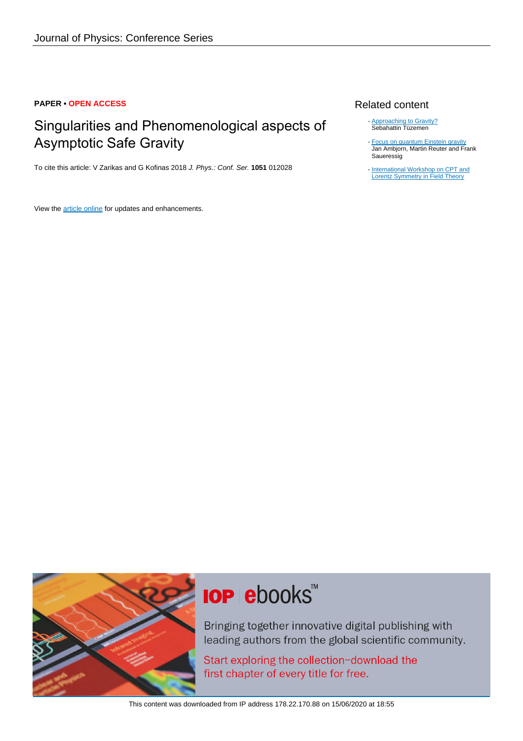#### **PAPER • OPEN ACCESS**

# Singularities and Phenomenological aspects of Asymptotic Safe Gravity

To cite this article: V Zarikas and G Kofinas 2018 J. Phys.: Conf. Ser. **1051** 012028

View the [article online](https://doi.org/10.1088/1742-6596/1051/1/012028) for updates and enhancements.

## Related content

- [Approaching to Gravity?](http://iopscience.iop.org/article/10.1088/1742-6596/707/1/012003) Sebahattin Tüzemen
- [Focus on quantum Einstein gravity](http://iopscience.iop.org/article/10.1088/1367-2630/14/9/095003) Jan Ambjorn, Martin Reuter and Frank **Saueressig** -
- [International Workshop on CPT and](http://iopscience.iop.org/article/10.1088/1742-6596/952/1/011001) [Lorentz Symmetry in Field Theory](http://iopscience.iop.org/article/10.1088/1742-6596/952/1/011001)



# **IOP ebooks**™

Bringing together innovative digital publishing with leading authors from the global scientific community.

Start exploring the collection-download the first chapter of every title for free.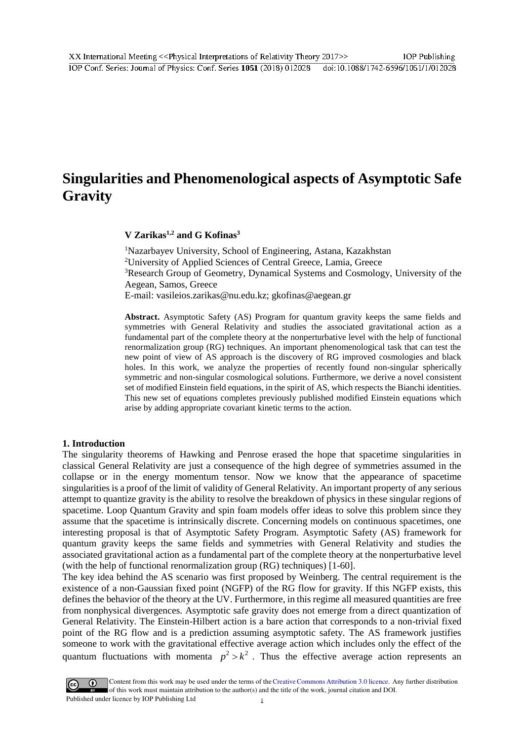# **Singularities and Phenomenological aspects of Asymptotic Safe Gravity**

### **V Zarikas1,2 and G Kofinas<sup>3</sup>**

<sup>1</sup>Nazarbayev University, School of Engineering, Astana, Kazakhstan <sup>2</sup>University of Applied Sciences of Central Greece, Lamia, Greece <sup>3</sup>Research Group of Geometry, Dynamical Systems and Cosmology, University of the Aegean, Samos, Greece E-mail: vasileios.zarikas@nu.edu.kz; gkofinas@aegean.gr

**Abstract.** Asymptotic Safety (AS) Program for quantum gravity keeps the same fields and symmetries with General Relativity and studies the associated gravitational action as a fundamental part of the complete theory at the nonperturbative level with the help of functional renormalization group (RG) techniques. An important phenomenological task that can test the new point of view of AS approach is the discovery of RG improved cosmologies and black holes. In this work, we analyze the properties of recently found non-singular spherically symmetric and non-singular cosmological solutions. Furthermore, we derive a novel consistent set of modified Einstein field equations, in the spirit of AS, which respects the Bianchi identities. This new set of equations completes previously published modified Einstein equations which arise by adding appropriate covariant kinetic terms to the action.

#### **1. Introduction**

The singularity theorems of Hawking and Penrose erased the hope that spacetime singularities in classical General Relativity are just a consequence of the high degree of symmetries assumed in the collapse or in the energy momentum tensor. Now we know that the appearance of spacetime singularities is a proof of the limit of validity of General Relativity. An important property of any serious attempt to quantize gravity is the ability to resolve the breakdown of physics in these singular regions of spacetime. Loop Quantum Gravity and spin foam models offer ideas to solve this problem since they assume that the spacetime is intrinsically discrete. Concerning models on continuous spacetimes, one interesting proposal is that of Asymptotic Safety Program. Asymptotic Safety (AS) framework for quantum gravity keeps the same fields and symmetries with General Relativity and studies the associated gravitational action as a fundamental part of the complete theory at the nonperturbative level (with the help of functional renormalization group (RG) techniques) [1-60].

The key idea behind the AS scenario was first proposed by Weinberg. The central requirement is the existence of a non-Gaussian fixed point (NGFP) of the RG flow for gravity. If this NGFP exists, this defines the behavior of the theory at the UV. Furthermore, in this regime all measured quantities are free from nonphysical divergences. Asymptotic safe gravity does not emerge from a direct quantization of General Relativity. The Einstein-Hilbert action is a bare action that corresponds to a non-trivial fixed point of the RG flow and is a prediction assuming asymptotic safety. The AS framework justifies someone to work with the gravitational effective average action which includes only the effect of the quantum fluctuations with momenta  $p^2 > k^2$ . Thus the effective average action represents an

Content from this work may be used under the terms of the [Creative Commons Attribution 3.0 licence.](http://creativecommons.org/licenses/by/3.0) Any further distribution  $\omega$  $\left[{\rm (cc)}\right]$ of this work must maintain attribution to the author(s) and the title of the work, journal citation and DOI. Published under licence by IOP Publishing Ltd 1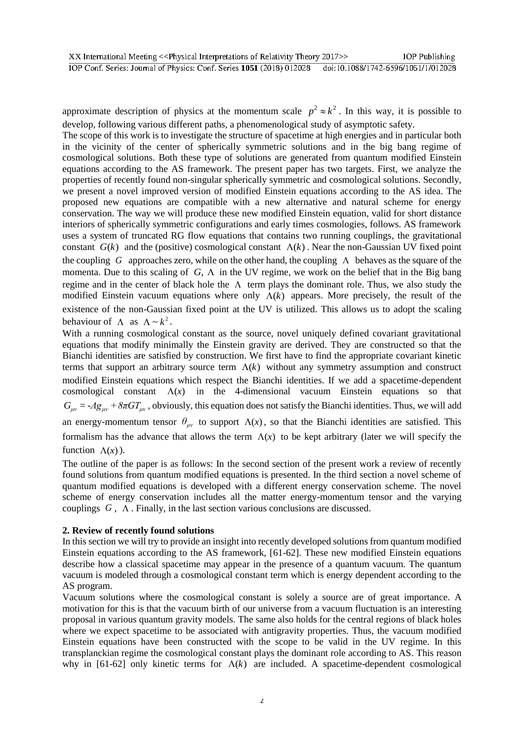approximate description of physics at the momentum scale  $p^2 \approx k^2$ . In this way, it is possible to develop, following various different paths, a phenomenological study of asymptotic safety.

The scope of this work is to investigate the structure of spacetime at high energies and in particular both in the vicinity of the center of spherically symmetric solutions and in the big bang regime of cosmological solutions. Both these type of solutions are generated from quantum modified Einstein equations according to the AS framework. The present paper has two targets. First, we analyze the properties of recently found non-singular spherically symmetric and cosmological solutions. Secondly, we present a novel improved version of modified Einstein equations according to the AS idea. The proposed new equations are compatible with a new alternative and natural scheme for energy conservation. The way we will produce these new modified Einstein equation, valid for short distance interiors of spherically symmetric configurations and early times cosmologies, follows. AS framework uses a system of truncated RG flow equations that contains two running couplings, the gravitational constant  $G(k)$  and the (positive) cosmological constant  $\Lambda(k)$ . Near the non-Gaussian UV fixed point the coupling  $G$  approaches zero, while on the other hand, the coupling  $\Lambda$  behaves as the square of the momenta. Due to this scaling of  $G$ ,  $\Lambda$  in the UV regime, we work on the belief that in the Big bang regime and in the center of black hole the  $\Lambda$  term plays the dominant role. Thus, we also study the modified Einstein vacuum equations where only  $\Lambda(k)$  appears. More precisely, the result of the existence of the non-Gaussian fixed point at the UV is utilized. This allows us to adopt the scaling behaviour of  $\Lambda$  as  $\Lambda \sim k^2$ .

With a running cosmological constant as the source, novel uniquely defined covariant gravitational equations that modify minimally the Einstein gravity are derived. They are constructed so that the Bianchi identities are satisfied by construction. We first have to find the appropriate covariant kinetic terms that support an arbitrary source term  $\Lambda(k)$  without any symmetry assumption and construct modified Einstein equations which respect the Bianchi identities. If we add a spacetime-dependent cosmological constant  $\Lambda(x)$  in the 4-dimensional vacuum Einstein equations so that  $G_{\mu\nu} = -Ag_{\mu\nu} + 8\pi GT_{\mu\nu}$ , obviously, this equation does not satisfy the Bianchi identities. Thus, we will add an energy-momentum tensor  $\theta_{\mu\nu}$  to support  $\Lambda(x)$ , so that the Bianchi identities are satisfied. This formalism has the advance that allows the term  $\Lambda(x)$  to be kept arbitrary (later we will specify the function  $\Lambda(x)$ ).

The outline of the paper is as follows: In the second section of the present work a review of recently found solutions from quantum modified equations is presented. In the third section a novel scheme of quantum modified equations is developed with a different energy conservation scheme. The novel scheme of energy conservation includes all the matter energy-momentum tensor and the varying couplings  $G$ ,  $\Lambda$ . Finally, in the last section various conclusions are discussed.

#### **2. Review of recently found solutions**

In this section we will try to provide an insight into recently developed solutions from quantum modified Einstein equations according to the AS framework, [61-62]. These new modified Einstein equations describe how a classical spacetime may appear in the presence of a quantum vacuum. The quantum vacuum is modeled through a cosmological constant term which is energy dependent according to the AS program.

Vacuum solutions where the cosmological constant is solely a source are of great importance. A motivation for this is that the vacuum birth of our universe from a vacuum fluctuation is an interesting proposal in various quantum gravity models. The same also holds for the central regions of black holes where we expect spacetime to be associated with antigravity properties. Thus, the vacuum modified Einstein equations have been constructed with the scope to be valid in the UV regime. In this transplanckian regime the cosmological constant plays the dominant role according to AS. This reason why in [61-62] only kinetic terms for  $\Lambda(k)$  are included. A spacetime-dependent cosmological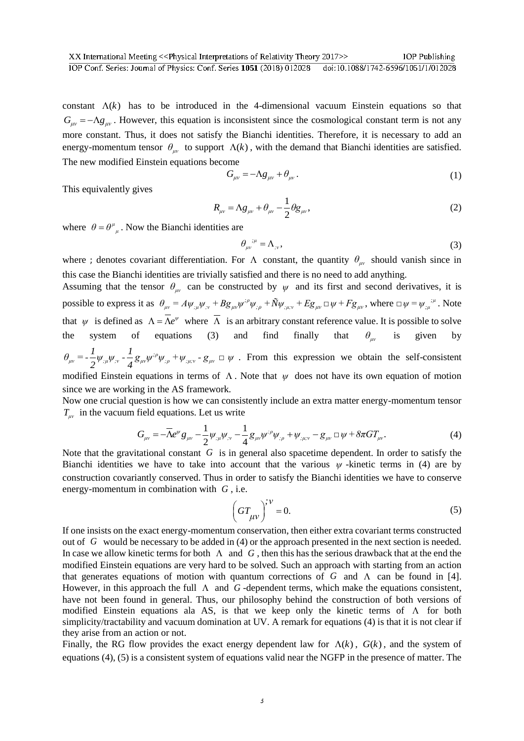constant  $\Lambda(k)$  has to be introduced in the 4-dimensional vacuum Einstein equations so that  $G_{\mu\nu} = -\Lambda g_{\mu\nu}$ . However, this equation is inconsistent since the cosmological constant term is not any more constant. Thus, it does not satisfy the Bianchi identities. Therefore, it is necessary to add an energy-momentum tensor  $\theta_{\mu\nu}$  to support  $\Lambda(k)$ , with the demand that Bianchi identities are satisfied. The new modified Einstein equations become

$$
G_{\mu\nu} = -\Lambda g_{\mu\nu} + \theta_{\mu\nu} \,. \tag{1}
$$

This equivalently gives

$$
R_{\mu\nu} = \Lambda g_{\mu\nu} + \theta_{\mu\nu} - \frac{1}{2} \theta g_{\mu\nu},
$$
\n(2)

where  $\theta = \theta^{\mu}_{\mu}$ . Now the Bianchi identities are

$$
\theta_{\mu\nu}^{\ \ ;\mu} = \Lambda_{,\nu},\tag{3}
$$

where ; denotes covariant differentiation. For  $\Lambda$  constant, the quantity  $\theta_{\mu\nu}$  should vanish since in this case the Bianchi identities are trivially satisfied and there is no need to add anything.

Assuming that the tensor  $\theta_{\mu\nu}$  can be constructed by  $\psi$  and its first and second derivatives, it is possible to express it as  $\theta_{uv} = A \psi_{uv} \psi_{iv} + B g_{uv} \psi^{i}$ *μ<sub>μ</sub>*  $\theta_{\mu\nu} = A\psi_{;\mu}\psi_{;\nu} + B g_{\mu\nu}\psi^{\mu} \psi_{;\rho} + \tilde{N}\psi_{;\mu\nu} + E g_{\mu\nu} \Box \psi + F g_{\mu\nu}$ , where  $\Box \psi = \psi_{;\mu}^{\mu}$ . Note that  $\psi$  is defined as  $\Lambda = \Lambda e^{\psi}$  where  $\overline{\Lambda}$  is an arbitrary constant reference value. It is possible to solve the system of equations (3) and find finally that  $\theta_{\mu\nu}$  is given by *i*<sub>*μ*</sub> =  $-\frac{1}{2}\psi_{;\mu}\psi_{;\nu} - \frac{1}{4}g_{\mu\nu}\psi^{;\rho}\psi_{;\rho} + \psi_{;\mu;\nu} - g_{\mu\nu} \Box$  $\frac{1}{2}\psi_{;\mu}\psi_{;\nu} - \frac{1}{4}g_{\mu\nu}\psi^{\nu\rho}\psi_{;\rho} + \psi_{;\mu;\nu} - g_{\mu\nu} \Box \psi$ . From this expression we obtain the self-consistent modified Einstein equations in terms of  $\Lambda$ . Note that  $\psi$  does not have its own equation of motion since we are working in the AS framework.

Now one crucial question is how we can consistently include an extra matter energy-momentum tensor *T<sub>μν</sub>* in the vacuum field equations. Let us write<br>  $G = -\overline{\Lambda}e^{\psi}g - \frac{1}{\psi} \psi - \frac{1}{\psi}$ 

$$
I_{\mu\nu}
$$
 in the vacuum field equations. Let us write  

$$
G_{\mu\nu} = -\overline{\Lambda}e^{\psi}g_{\mu\nu} - \frac{1}{2}\psi_{;\mu}\psi_{;\nu} - \frac{1}{4}g_{\mu\nu}\psi^{\nu\rho}\psi_{;\rho} + \psi_{;\mu;\nu} - g_{\mu\nu}\Box\psi + 8\pi GT_{\mu\nu}.
$$
 (4)  
Note that the gravitational constant G is in general also spacetime dependent. In order to satisfy the

Bianchi identities we have to take into account that the various  $\psi$  -kinetic terms in (4) are by construction covariantly conserved. Thus in order to satisfy the Bianchi identities we have to conserve energy-momentum in combination with G, i.e.

$$
\left(GT_{\mu\nu}\right)^{\mathcal{V}}=0.\tag{5}
$$

If one insists on the exact energy-momentum conservation, then either extra covariant terms constructed out of *G* would be necessary to be added in (4) or the approach presented in the next section is needed. In case we allow kinetic terms for both  $\Lambda$  and  $G$ , then this has the serious drawback that at the end the modified Einstein equations are very hard to be solved. Such an approach with starting from an action that generates equations of motion with quantum corrections of  $G$  and  $\Lambda$  can be found in [4]. However, in this approach the full  $\Lambda$  and G-dependent terms, which make the equations consistent, have not been found in general. Thus, our philosophy behind the construction of both versions of modified Einstein equations ala AS, is that we keep only the kinetic terms of  $\Lambda$  for both simplicity/tractability and vacuum domination at UV. A remark for equations (4) is that it is not clear if they arise from an action or not.

Finally, the RG flow provides the exact energy dependent law for  $\Lambda(k)$ ,  $G(k)$ , and the system of equations (4), (5) is a consistent system of equations valid near the NGFP in the presence of matter. The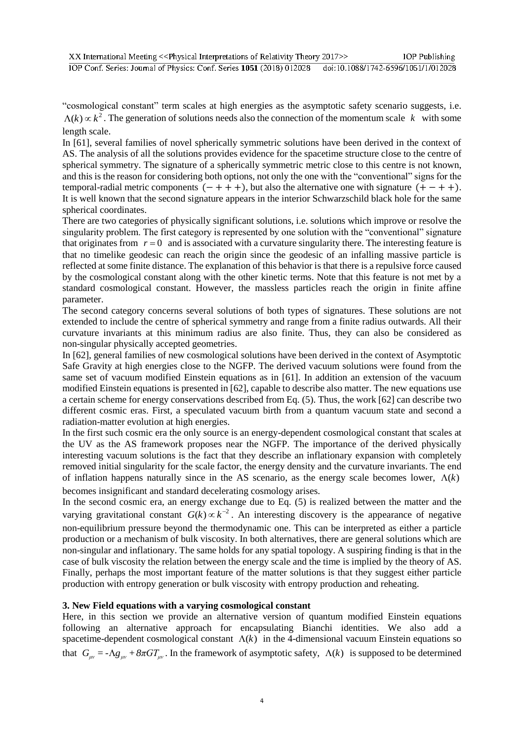"cosmological constant" term scales at high energies as the asymptotic safety scenario suggests, i.e.  $\Lambda(k) \propto k^2$ . The generation of solutions needs also the connection of the momentum scale k with some length scale.

In [61], several families of novel spherically symmetric solutions have been derived in the context of AS. The analysis of all the solutions provides evidence for the spacetime structure close to the centre of spherical symmetry. The signature of a spherically symmetric metric close to this centre is not known, and this is the reason for considering both options, not only the one with the "conventional" signs for the temporal-radial metric components  $(- + + +)$ , but also the alternative one with signature  $(+ - + +)$ . It is well known that the second signature appears in the interior Schwarzschild black hole for the same spherical coordinates.

There are two categories of physically significant solutions, i.e. solutions which improve or resolve the singularity problem. The first category is represented by one solution with the "conventional" signature that originates from  $r = 0$  and is associated with a curvature singularity there. The interesting feature is that no timelike geodesic can reach the origin since the geodesic of an infalling massive particle is reflected at some finite distance. The explanation of this behavior is that there is a repulsive force caused by the cosmological constant along with the other kinetic terms. Note that this feature is not met by a standard cosmological constant. However, the massless particles reach the origin in finite affine parameter.

The second category concerns several solutions of both types of signatures. These solutions are not extended to include the centre of spherical symmetry and range from a finite radius outwards. All their curvature invariants at this minimum radius are also finite. Thus, they can also be considered as non-singular physically accepted geometries.

In [62], general families of new cosmological solutions have been derived in the context of Asymptotic Safe Gravity at high energies close to the NGFP. The derived vacuum solutions were found from the same set of vacuum modified Einstein equations as in [61]. In addition an extension of the vacuum modified Einstein equations is presented in [62], capable to describe also matter. The new equations use a certain scheme for energy conservations described from Eq. (5). Thus, the work [62] can describe two different cosmic eras. First, a speculated vacuum birth from a quantum vacuum state and second a radiation-matter evolution at high energies.

In the first such cosmic era the only source is an energy-dependent cosmological constant that scales at the UV as the AS framework proposes near the NGFP. The importance of the derived physically interesting vacuum solutions is the fact that they describe an inflationary expansion with completely removed initial singularity for the scale factor, the energy density and the curvature invariants. The end of inflation happens naturally since in the AS scenario, as the energy scale becomes lower,  $\Lambda(k)$ becomes insignificant and standard decelerating cosmology arises.

In the second cosmic era, an energy exchange due to Eq. (5) is realized between the matter and the varying gravitational constant  $G(k) \propto k^{-2}$ . An interesting discovery is the appearance of negative non-equilibrium pressure beyond the thermodynamic one. This can be interpreted as either a particle production or a mechanism of bulk viscosity. In both alternatives, there are general solutions which are non-singular and inflationary. The same holds for any spatial topology. A suspiring finding is that in the case of bulk viscosity the relation between the energy scale and the time is implied by the theory of AS. Finally, perhaps the most important feature of the matter solutions is that they suggest either particle production with entropy generation or bulk viscosity with entropy production and reheating.

#### **3. New Field equations with a varying cosmological constant**

Here, in this section we provide an alternative version of quantum modified Einstein equations following an alternative approach for encapsulating Bianchi identities. We also add a spacetime-dependent cosmological constant  $\Lambda(k)$  in the 4-dimensional vacuum Einstein equations so that  $G_{\mu\nu} = -\Lambda g_{\mu\nu} + 8\pi G T_{\mu\nu}$ . In the framework of asymptotic safety,  $\Lambda(k)$  is supposed to be determined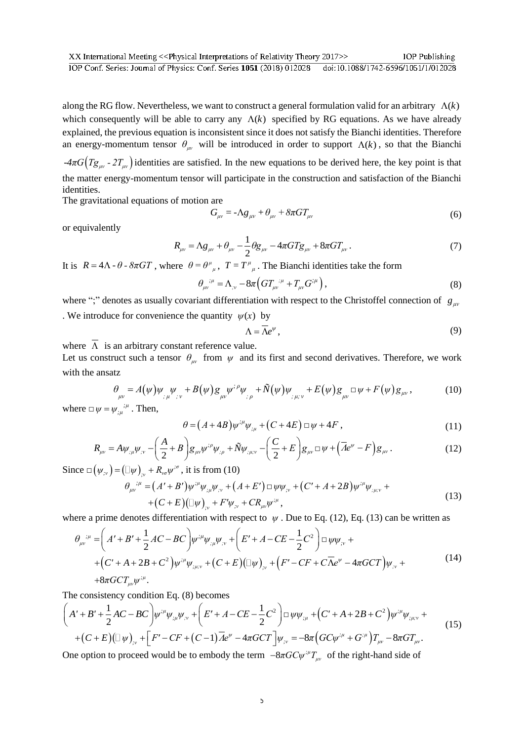along the RG flow. Nevertheless, we want to construct a general formulation valid for an arbitrary  $\Lambda(k)$ which consequently will be able to carry any  $\Lambda(k)$  specified by RG equations. As we have already explained, the previous equation is inconsistent since it does not satisfy the Bianchi identities. Therefore an energy-momentum tensor  $\theta_{\mu\nu}$  will be introduced in order to support  $\Lambda(k)$ , so that the Bianchi  $-4\pi G(Tg_{\mu\nu} - 2T_{\mu\nu})$  identities are satisfied. In the new equations to be derived here, the key point is that

the matter energy-momentum tensor will participate in the construction and satisfaction of the Bianchi identities.

The gravitational equations of motion are

$$
G_{\mu\nu} = -\Lambda g_{\mu\nu} + \theta_{\mu\nu} + 8\pi G T_{\mu\nu}
$$
\n(6)

or equivalently

$$
R_{\mu\nu} = \Lambda g_{\mu\nu} + \theta_{\mu\nu} - \frac{1}{2} \theta g_{\mu\nu} - 4\pi G T g_{\mu\nu} + 8\pi G T_{\mu\nu}.
$$
 (7)

It is  $R = 4\Lambda \cdot \theta \cdot 8\pi G T$ , where  $\theta = \theta^{\mu}{}_{\mu}$ ,  $T = T^{\mu}{}_{\mu}$ . The Bianchi identities take the form

$$
\theta_{\mu\nu}^{\ \ \mu} = \Lambda_{,\nu} - 8\pi \Big( G T_{\mu\nu}^{\ \ \mu} + T_{\mu\nu} G^{\mu} \Big), \tag{8}
$$

where ";" denotes as usually covariant differentiation with respect to the Christoffel connection of *g<sub>μ</sub>ν</sub>* . We introduce for convenience the quantity  $\psi(x)$  by

$$
\Lambda = \overline{\Lambda} e^{\psi} \,, \tag{9}
$$

where  $\Lambda$  is an arbitrary constant reference value.

Let us construct such a tensor  $\theta_{\mu\nu}$  from  $\psi$  and its first and second derivatives. Therefore, we work with the ansatz

tz  
\n
$$
\theta_{\mu\nu} = A(\psi)\psi_{,\mu}\psi_{,\nu} + B(\psi)g_{\mu\nu}\psi^{\mu}\psi_{,\rho} + \tilde{N}(\psi)\psi_{,\mu,\nu} + E(\psi)g_{\mu\nu}\Box\psi + F(\psi)g_{\mu\nu}, \qquad (10)
$$

where  $\Box \psi = \psi_{;\mu}^{\mu}$ . Then,

$$
\theta = (A + 4B)\psi^{;\mu}\psi_{;\mu} + (C + 4E) \Box \psi + 4F, \qquad (11)
$$

$$
\theta = (A + 4B)\psi^{;\mu}\psi_{;\mu} + (C + 4E) \Box \psi + 4F,
$$
\n(11)  
\n
$$
R_{\mu\nu} = A\psi_{;\mu}\psi_{;\nu} - \left(\frac{A}{2} + B\right)g_{\mu\nu}\psi^{;\rho}\psi_{;\rho} + \tilde{N}\psi_{;\mu;\nu} - \left(\frac{C}{2} + E\right)g_{\mu\nu} \Box \psi + \left(\overline{A}e^{\psi} - F\right)g_{\mu\nu}.
$$
\n(12)

Since  $\square(\psi_{,v}) = (\square \psi)_{,v} + R_{v\sigma} \psi^{;\sigma}$ , it is from (10)

$$
\begin{aligned} \n\frac{\partial \varphi_{j,v}^{i}}{\partial \mu} &= (A' + B') \psi^{i\mu} \psi_{,\mu} \psi_{,\nu} + (A + E') \Box \psi \psi_{,\nu} + (C' + A + 2B) \psi^{i\mu} \psi_{,\mu,\nu} + \\ \n&+ (C + E) (\Box \psi)_{,\nu} + F' \psi_{,\nu} + CR_{\mu\nu} \psi^{i\mu}, \n\end{aligned} \tag{13}
$$

where a prime denotes differentiation with respect to  $\psi$ . Due to Eq. (12), Eq. (13) can be written as

here a prime denotes differentiation with respect to 
$$
\psi
$$
. Due to Eq. (12), Eq. (13) can be written as  
\n
$$
\theta_{\mu\nu}^{\ \ \dot{\mu}} = \left( A' + B' + \frac{1}{2}AC - BC \right) \psi^{\mu} \psi_{\mu} \psi_{\nu} + \left( E' + A - CE - \frac{1}{2}C^2 \right) \Box \psi \psi_{\nu} +
$$
\n
$$
+ \left( C' + A + 2B + C^2 \right) \psi^{\mu} \psi_{\mu} \psi_{\mu} + \left( C + E \right) \left( \Box \psi \right)_{\nu} + \left( F' - CF + C \overline{\Lambda} e^{\psi} - 4\pi G C T \right) \psi_{\nu} +
$$
\n
$$
+ 8\pi G C T_{\mu\nu} \psi^{\mu}.
$$
\n(14)

The consistency condition Eq. (8) becomes

The consistency condition Eq. (8) becomes  
\n
$$
\left(A' + B' + \frac{1}{2}AC - BC\right)\psi^{;\mu}\psi_{;\mu}\psi_{;\nu} + \left(E' + A - CE - \frac{1}{2}C^2\right)\Box\psi\psi_{;\mu} + \left(C' + A + 2B + C^2\right)\psi^{;\mu}\psi_{;\mu;\nu} +
$$
\n
$$
+ (C + E)(\Box\psi)_{;\nu} + \left[F' - CF + (C - 1)\overline{A}e^{\psi} - 4\pi GCT\right]\psi_{;\nu} = -8\pi\left(GC\psi^{;\mu} + G^{\mu}\right)T_{\mu\nu} - 8\pi GT_{\mu\nu}.
$$
\n(15)

One option to proceed would be to embody the term  $-8\pi G C \psi^{i\mu} T_{\mu\nu}$  of the right-hand side of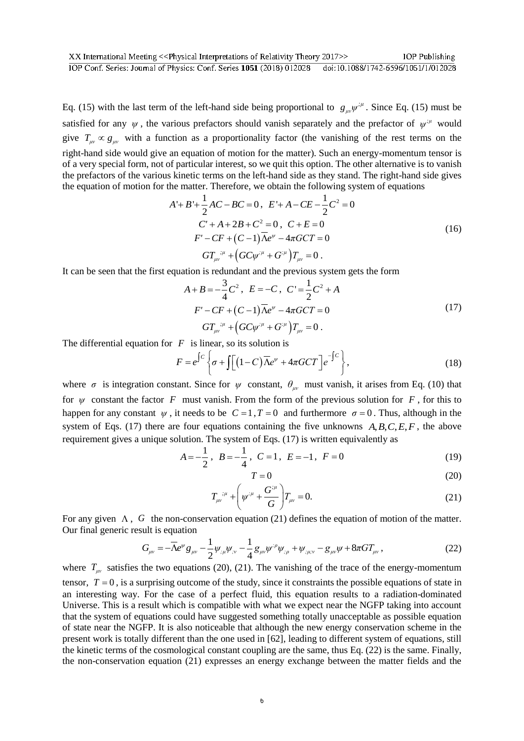Eq. (15) with the last term of the left-hand side being proportional to  $g_{\mu\nu}\psi^{\mu}$ . Since Eq. (15) must be satisfied for any  $\psi$ , the various prefactors should vanish separately and the prefactor of  $\psi^{\mu}$  would give  $T_{\mu\nu} \propto g_{\mu\nu}$  with a function as a proportionality factor (the vanishing of the rest terms on the right-hand side would give an equation of motion for the matter). Such an energy-momentum tensor is of a very special form, not of particular interest, so we quit this option. The other alternative is to vanish the prefactors of the various kinetic terms on the left-hand side as they stand. The right-hand side gives the equation of motion for the matter. Therefore, we obtain the following system of equations

$$
A'+B'+\frac{1}{2}AC-BC=0, E'+A-CE-\frac{1}{2}C^2=0
$$
  
\n
$$
C'+A+2B+C^2=0, C+E=0
$$
  
\n
$$
F'-CF+(C-1)\overline{\Lambda}e^{\psi}-4\pi GCT=0
$$
  
\n
$$
GT_{\mu\nu}^{\ \ \mu}+\left(GC\psi^{\mu}+G^{\mu}\right)T_{\mu\nu}=0.
$$
\n(16)

It can be seen that the first equation is redundant and the previous system gets the form

$$
A + B = -\frac{3}{4}C^2, \quad E = -C, \quad C' = \frac{1}{2}C^2 + A
$$
  

$$
F' - CF + (C - 1)\overline{\Lambda}e^{\nu} - 4\pi GCT = 0
$$
  

$$
GT_{\mu\nu}^{\ \ \mu} + (GC\psi^{\mu} + G^{\mu})T_{\mu\nu} = 0.
$$
 (17)

The differential equation for 
$$
F
$$
 is linear, so its solution is\n
$$
F = e^{\int C} \left\{ \sigma + \int \left[ (1 - C) \overline{\Lambda} e^{\psi} + 4 \pi G C T \right] e^{-\int C} \right\},
$$
\n(18)

where  $\sigma$  is integration constant. Since for  $\psi$  constant,  $\theta_{\mu\nu}$  must vanish, it arises from Eq. (10) that for  $\psi$  constant the factor F must vanish. From the form of the previous solution for F, for this to happen for any constant  $\psi$ , it needs to be  $C = 1$ ,  $T = 0$  and furthermore  $\sigma = 0$ . Thus, although in the system of Eqs.  $(17)$  there are four equations containing the five unknowns  $A, B, C, E, F$ , the above requirement gives a unique solution. The system of Eqs. (17) is written equivalently as

$$
A = -\frac{1}{2}, \ B = -\frac{1}{4}, \ C = 1, \ E = -1, \ F = 0 \tag{19}
$$

$$
T = 0 \tag{20}
$$

$$
T_{\mu\nu}^{\ \ ;\mu} + \left(\psi^{\ \ ;\mu} + \frac{G^{\ ;\mu}}{G}\right) T_{\mu\nu} = 0. \tag{21}
$$

For any given A, G the non-conservation equation (21) defines the equation of motion of the matter.<br>Our final generic result is equation<br> $G_{\mu\nu} = -\overline{\Lambda}e^{\psi}g_{\mu\nu} - \frac{1}{2}\psi_{,\mu}\psi_{,\nu} - g_{\mu\nu}\psi^{\rho}\psi_{,\rho} + \psi_{,\mu\nu} - g_{\mu\nu}\psi +$ Our final generic result is equation

Our final generic result is equation  
\n
$$
G_{\mu\nu} = -\overline{\Lambda}e^{\psi}g_{\mu\nu} - \frac{1}{2}\psi_{;\mu}\psi_{;\nu} - \frac{1}{4}g_{\mu\nu}\psi^{\nu\rho}\psi_{;\rho} + \psi_{;\mu;\nu} - g_{\mu\nu}\psi + 8\pi GT_{\mu\nu},
$$
\n(22)  
\nwhere  $T_{\mu\nu}$  satisfies the two equations (20), (21). The vanishing of the trace of the energy-momentum

tensor,  $T = 0$ , is a surprising outcome of the study, since it constraints the possible equations of state in an interesting way. For the case of a perfect fluid, this equation results to a radiation-dominated Universe. This is a result which is compatible with what we expect near the NGFP taking into account that the system of equations could have suggested something totally unacceptable as possible equation of state near the NGFP. It is also noticeable that although the new energy conservation scheme in the present work is totally different than the one used in [62], leading to different system of equations, still the kinetic terms of the cosmological constant coupling are the same, thus Eq. (22) is the same. Finally, the non-conservation equation (21) expresses an energy exchange between the matter fields and the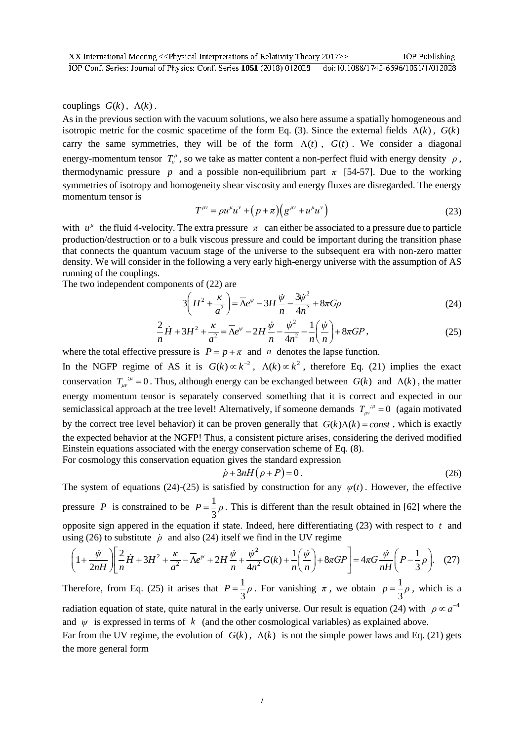couplings  $G(k)$ ,  $\Lambda(k)$ .

As in the previous section with the vacuum solutions, we also here assume a spatially homogeneous and isotropic metric for the cosmic spacetime of the form Eq. (3). Since the external fields  $\Lambda(k)$ ,  $G(k)$ carry the same symmetries, they will be of the form  $\Lambda(t)$ ,  $G(t)$ . We consider a diagonal energy-momentum tensor  $T_v^{\mu}$ , so we take as matter content a non-perfect fluid with energy density  $\rho$ , thermodynamic pressure p and a possible non-equilibrium part  $\pi$  [54-57]. Due to the working symmetries of isotropy and homogeneity shear viscosity and energy fluxes are disregarded. The energy momentum tensor is

$$
T^{\mu\nu} = \rho u^{\mu} u^{\nu} + (p + \pi) (g^{\mu\nu} + u^{\mu} u^{\nu})
$$
 (23)

with  $u^{\mu}$  the fluid 4-velocity. The extra pressure  $\pi$  can either be associated to a pressure due to particle production/destruction or to a bulk viscous pressure and could be important during the transition phase that connects the quantum vacuum stage of the universe to the subsequent era with non-zero matter density. We will consider in the following a very early high-energy universe with the assumption of AS running of the couplings.

The two independent components of (22) are

nents of (22) are  
\n
$$
3\left(H^2 + \frac{\kappa}{a^2}\right) = \overline{\Lambda}e^{\psi} - 3H\frac{\dot{\psi}}{n} - \frac{3\dot{\psi}^2}{4n^2} + 8\pi G\rho
$$
\n(24)

$$
3\left(H^{2} + \frac{1}{a^{2}}\right) = \Lambda e^{\nu} - 3H \frac{1}{n} - \frac{1}{4n^{2}} + 8\pi G\rho
$$
(24)  

$$
\frac{2}{n}\dot{H} + 3H^{2} + \frac{\kappa}{a^{2}} = \overline{\Lambda}e^{\nu} - 2H\frac{\dot{\psi}}{n} - \frac{\dot{\psi}^{2}}{4n^{2}} - \frac{1}{n}\left(\frac{\dot{\psi}}{n}\right) + 8\pi GP,
$$
(25)

where the total effective pressure is  $P = p + \pi$  and *n* denotes the lapse function.

In the NGFP regime of AS it is  $G(k) \propto k^{-2}$ ,  $\Lambda(k) \propto k^2$ , therefore Eq. (21) implies the exact conservation  $T_{\mu\nu}^{\mu\nu} = 0$ . Thus, although energy can be exchanged between  $G(k)$  and  $\Lambda(k)$ , the matter energy momentum tensor is separately conserved something that it is correct and expected in our semiclassical approach at the tree level! Alternatively, if someone demands  $T_{\mu\nu}^{\mu\nu} = 0$  (again motivated by the correct tree level behavior) it can be proven generally that  $G(k)\Lambda(k) = const$ , which is exactly the expected behavior at the NGFP! Thus, a consistent picture arises, considering the derived modified Einstein equations associated with the energy conservation scheme of Eq. (8). For cosmology this conservation equation gives the standard expression

$$
\dot{\rho} + 3nH(\rho + P) = 0. \tag{26}
$$

The system of equations (24)-(25) is satisfied by construction for any  $\psi(t)$ . However, the effective pressure *P* is constrained to be  $P = \frac{1}{2}$ 3  $P = \frac{1}{2}\rho$ . This is different than the result obtained in [62] where the opposite sign appered in the equation if state. Indeed, here differentiating (23) with respect to *t* and posite sign appered in the equation if state. Indeed, here differentiating (23) with respect to t and<br>ing (26) to substitute  $\dot{\rho}$  and also (24) itself we find in the UV regime<br> $\left(1+\frac{\dot{\psi}}{2nH}\right)\left[\frac{2}{n}\dot{H}+3H^2+\frac{\kappa}{$ 

opposite sign appeared in the equation if state. Indeed, here differentiating (23) with respect to t and  
using (26) to substitute 
$$
\dot{\rho}
$$
 and also (24) itself we find in the UV regime  

$$
\left(1+\frac{\dot{\psi}}{2nH}\right)\left[\frac{2}{n}\dot{H}+3H^2+\frac{\kappa}{a^2}-\overline{\Lambda}e^{\psi}+2H\frac{\dot{\psi}}{n}+\frac{\dot{\psi}^2}{4n^2}G(k)+\frac{1}{n}\left(\frac{\dot{\psi}}{n}\right)+8\pi GP\right]=4\pi G\frac{\dot{\psi}}{nH}\left(P-\frac{1}{3}\rho\right).
$$
 (27)

Therefore, from Eq. (25) it arises that  $P = \frac{1}{2}$ 3  $P = \frac{1}{2}\rho$ . For vanishing  $\pi$ , we obtain  $p = \frac{1}{2}$ 3  $p = \frac{1}{2} \rho$ , which is a radiation equation of state, quite natural in the early universe. Our result is equation (24) with  $\rho \propto a^{-4}$ and  $\psi$  is expressed in terms of  $k$  (and the other cosmological variables) as explained above. Far from the UV regime, the evolution of  $G(k)$ ,  $\Lambda(k)$  is not the simple power laws and Eq. (21) gets the more general form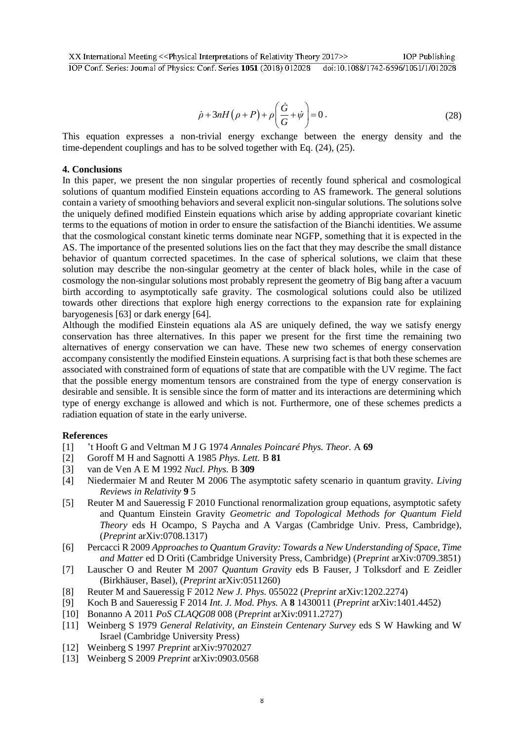$$
\dot{\rho} + 3nH(\rho + P) + \rho \left(\frac{\dot{G}}{G} + \dot{\psi}\right) = 0.
$$
\n(28)

This equation expresses a non-trivial energy exchange between the energy density and the time-dependent couplings and has to be solved together with Eq. (24), (25).

#### **4. Conclusions**

In this paper, we present the non singular properties of recently found spherical and cosmological solutions of quantum modified Einstein equations according to AS framework. The general solutions contain a variety of smoothing behaviors and several explicit non-singular solutions. The solutions solve the uniquely defined modified Einstein equations which arise by adding appropriate covariant kinetic terms to the equations of motion in order to ensure the satisfaction of the Bianchi identities. We assume that the cosmological constant kinetic terms dominate near NGFP, something that it is expected in the AS. The importance of the presented solutions lies on the fact that they may describe the small distance behavior of quantum corrected spacetimes. In the case of spherical solutions, we claim that these solution may describe the non-singular geometry at the center of black holes, while in the case of cosmology the non-singular solutions most probably represent the geometry of Big bang after a vacuum birth according to asymptotically safe gravity. The cosmological solutions could also be utilized towards other directions that explore high energy corrections to the expansion rate for explaining baryogenesis [63] or dark energy [64].

Although the modified Einstein equations ala AS are uniquely defined, the way we satisfy energy conservation has three alternatives. In this paper we present for the first time the remaining two alternatives of energy conservation we can have. These new two schemes of energy conservation accompany consistently the modified Einstein equations. A surprising fact is that both these schemes are associated with constrained form of equations of state that are compatible with the UV regime*.* The fact that the possible energy momentum tensors are constrained from the type of energy conservation is desirable and sensible. It is sensible since the form of matter and its interactions are determining which type of energy exchange is allowed and which is not. Furthermore, one of these schemes predicts a radiation equation of state in the early universe.

#### **References**

- [1] 't Hooft G and Veltman M J G 1974 *Annales Poincaré Phys. Theor.* A **69**
- [2] Goroff M H and Sagnotti A 1985 *Phys. Lett.* B **81**
- [3] van de Ven A E M 1992 *Nucl. Phys.* B **309**
- [4] Niedermaier M and Reuter M 2006 The asymptotic safety scenario in quantum gravity. *Living Reviews in Relativity* **9** 5
- [5] Reuter M and Saueressig F 2010 Functional renormalization group equations, asymptotic safety and Quantum Einstein Gravity *Geometric and Topological Methods for Quantum Field Theory* eds H Ocampo, S Paycha and A Vargas (Cambridge Univ. Press, Cambridge), (*Preprint* arXiv:0708.1317)
- [6] Percacci R 2009 *Approaches to Quantum Gravity: Towards a New Understanding of Space, Time and Matter* ed D Oriti (Cambridge University Press, Cambridge) (*Preprint* arXiv:0709.3851)
- [7] Lauscher O and Reuter M 2007 *Quantum Gravity* eds B Fauser, J Tolksdorf and E Zeidler (Birkhäuser, Basel), (*Preprint* arXiv:0511260)
- [8] Reuter M and Saueressig F 2012 *New J. Phys.* 055022 (*Preprint* arXiv:1202.2274)
- [9] Koch B and Saueressig F 2014 *Int. J. Mod. Phys.* A **8** 1430011 (*Preprint* arXiv:1401.4452)
- [10] Bonanno A 2011 *PoS CLAQG08* 008 (*Preprint* arXiv:0911.2727)
- [11] Weinberg S 1979 *General Relativity, an Einstein Centenary Survey* eds S W Hawking and W Israel (Cambridge University Press)
- [12] Weinberg S 1997 *Preprint* arXiv:9702027
- [13] Weinberg S 2009 *Preprint* arXiv:0903.0568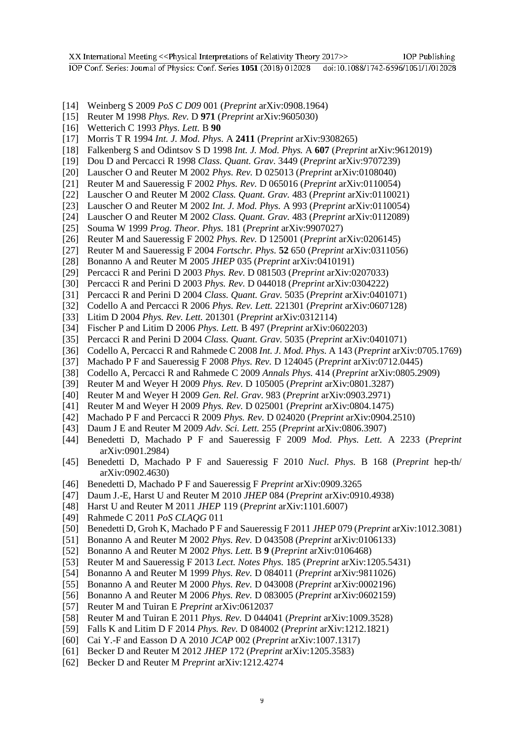XX International Meeting <<Physical Interpretations of Relativity Theory 2017>> IOP Publishing

IOP Conf. Series: Journal of Physics: Conf. Series **1051** (2018) 012028 doi:10.1088/1742-6596/1051/1/012028

- [14] Weinberg S 2009 *PoS C D09* 001 (*Preprint* arXiv:0908.1964)
- [15] Reuter M 1998 *Phys. Rev.* D **971** (*Preprint* arXiv:9605030)
- [16] Wetterich C 1993 *Phys. Lett.* B **90**
- [17] Morris T R 1994 *Int. J. Mod. Phys.* A **2411** (*Preprint* arXiv:9308265)
- [18] Falkenberg S and Odintsov S D 1998 *Int. J. Mod. Phys.* A **607** (*Preprint* arXiv:9612019)
- [19] Dou D and Percacci R 1998 *Class. Quant. Grav.* 3449 (*Preprint* arXiv:9707239)
- [20] Lauscher O and Reuter M 2002 *Phys. Rev.* D 025013 (*Preprint* arXiv:0108040)
- [21] Reuter M and Saueressig F 2002 *Phys. Rev.* D 065016 (*Preprint* arXiv:0110054)
- [22] Lauscher O and Reuter M 2002 *Class. Quant. Grav.* 483 (*Preprint* arXiv:0110021)
- [23] Lauscher O and Reuter M 2002 *Int. J. Mod. Phys.* A 993 (*Preprint* arXiv:0110054)
- [24] Lauscher O and Reuter M 2002 *Class. Quant. Grav.* 483 (*Preprint* arXiv:0112089)
- [25] Souma W 1999 *Prog. Theor. Phys.* 181 (*Preprint* arXiv:9907027)
- [26] Reuter M and Saueressig F 2002 *Phys. Rev.* D 125001 (*Preprint* arXiv:0206145)
- [27] Reuter M and Saueressig F 2004 *Fortschr. Phys.* **52** 650 (*Preprint* arXiv:0311056)
- [28] Bonanno A and Reuter M 2005 *JHEP* 035 (*Preprint* arXiv:0410191)
- [29] Percacci R and Perini D 2003 *Phys. Rev.* D 081503 (*Preprint* arXiv:0207033)
- [30] Percacci R and Perini D 2003 *Phys. Rev.* D 044018 (*Preprint* arXiv:0304222)
- [31] Percacci R and Perini D 2004 *Class. Quant. Grav.* 5035 (*Preprint* arXiv:0401071)
- [32] Codello A and Percacci R 2006 *Phys. Rev. Lett.* 221301 (*Preprint* arXiv:0607128)
- [33] Litim D 2004 *Phys. Rev. Lett.* 201301 (*Preprint* arXiv:0312114)
- [34] Fischer P and Litim D 2006 *Phys. Lett.* B 497 (*Preprint* arXiv:0602203)
- [35] Percacci R and Perini D 2004 *Class. Quant. Grav.* 5035 (*Preprint* arXiv:0401071)
- [36] Codello A, Percacci R and Rahmede C 2008 *Int. J. Mod. Phys.* A 143 (*Preprint* arXiv:0705.1769)
- [37] Machado P F and Saueressig F 2008 *Phys. Rev.* D 124045 (*Preprint* arXiv:0712.0445)
- [38] Codello A, Percacci R and Rahmede C 2009 *Annals Phys.* 414 (*Preprint* arXiv:0805.2909)
- [39] Reuter M and Weyer H 2009 *Phys. Rev.* D 105005 (*Preprint* arXiv:0801.3287)
- [40] Reuter M and Weyer H 2009 *Gen. Rel. Grav.* 983 (*Preprint* arXiv:0903.2971)
- [41] Reuter M and Weyer H 2009 *Phys. Rev.* D 025001 (*Preprint* arXiv:0804.1475)
- [42] Machado P F and Percacci R 2009 *Phys. Rev.* D 024020 (*Preprint* arXiv:0904.2510)
- [43] Daum J E and Reuter M 2009 *Adv. Sci. Lett.* 255 (*Preprint* arXiv:0806.3907)
- [44] Benedetti D, Machado P F and Saueressig F 2009 *Mod. Phys. Lett.* A 2233 (*Preprint* arXiv:0901.2984)
- [45] Benedetti D, Machado P F and Saueressig F 2010 *Nucl. Phys.* B 168 (*Preprint* hep-th/ arXiv:0902.4630)
- [46] Benedetti D, Machado P F and Saueressig F *Preprint* arXiv:0909.3265
- [47] Daum J.-E, Harst U and Reuter M 2010 *JHEP* 084 (*Preprint* arXiv:0910.4938)
- [48] Harst U and Reuter M 2011 *JHEP* 119 (*Preprint* arXiv:1101.6007)
- [49] Rahmede C 2011 *PoS CLAQG* 011
- [50] Benedetti D, Groh K, Machado P F and Saueressig F 2011 *JHEP* 079 (*Preprint* arXiv:1012.3081)
- [51] Bonanno A and Reuter M 2002 *Phys. Rev.* D 043508 (*Preprint* arXiv:0106133)
- [52] Bonanno A and Reuter M 2002 *Phys. Lett.* B **9** (*Preprint* arXiv:0106468)
- [53] Reuter M and Saueressig F 2013 *Lect. Notes Phys.* 185 (*Preprint* arXiv:1205.5431)
- [54] Bonanno A and Reuter M 1999 *Phys. Rev.* D 084011 (*Preprint* arXiv:9811026)
- [55] Bonanno A and Reuter M 2000 *Phys. Rev.* D 043008 (*Preprint* arXiv:0002196)
- [56] Bonanno A and Reuter M 2006 *Phys. Rev.* D 083005 (*Preprint* arXiv:0602159)
- [57] Reuter M and Tuiran E *Preprint* arXiv:0612037
- [58] Reuter M and Tuiran E 2011 *Phys. Rev.* D 044041 (*Preprint* arXiv:1009.3528)
- [59] Falls K and Litim D F 2014 *Phys. Rev.* D 084002 (*Preprint* arXiv:1212.1821)
- [60] Cai Y.-F and Easson D A 2010 *JCAP* 002 (*Preprint* arXiv:1007.1317)
- [61] Becker D and Reuter M 2012 *JHEP* 172 (*Preprint* arXiv:1205.3583)
- [62] Becker D and Reuter M *Preprint* arXiv:1212.4274